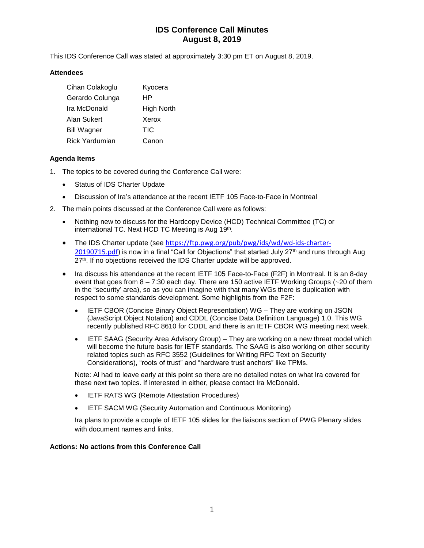# **IDS Conference Call Minutes August 8, 2019**

This IDS Conference Call was stated at approximately 3:30 pm ET on August 8, 2019.

### **Attendees**

| Cihan Colakoglu       | Kyocera    |
|-----------------------|------------|
| Gerardo Colunga       | HP         |
| Ira McDonald          | High North |
| Alan Sukert           | Xerox      |
| <b>Bill Wagner</b>    | <b>TIC</b> |
| <b>Rick Yardumian</b> | Canon      |

## **Agenda Items**

- 1. The topics to be covered during the Conference Call were:
	- Status of IDS Charter Update
	- Discussion of Ira's attendance at the recent IETF 105 Face-to-Face in Montreal
- 2. The main points discussed at the Conference Call were as follows:
	- Nothing new to discuss for the Hardcopy Device (HCD) Technical Committee (TC) or international TC. Next HCD TC Meeting is Aug 19<sup>th</sup>.
	- The IDS Charter update (see [https://ftp.pwg.org/pub/pwg/ids/wd/wd-ids-charter-](https://ftp.pwg.org/pub/pwg/ids/wd/wd-ids-charter-20190715.pdf)[20190715.pdf\)](https://ftp.pwg.org/pub/pwg/ids/wd/wd-ids-charter-20190715.pdf) is now in a final "Call for Objections" that started July 27<sup>th</sup> and runs through Aug 27<sup>th</sup>. If no objections received the IDS Charter update will be approved.
	- Ira discuss his attendance at the recent IETF 105 Face-to-Face (F2F) in Montreal. It is an 8-day event that goes from 8 – 7:30 each day. There are 150 active IETF Working Groups (~20 of them in the "security' area), so as you can imagine with that many WGs there is duplication with respect to some standards development. Some highlights from the F2F:
		- IETF CBOR (Concise Binary Object Representation) WG They are working on JSON (JavaScript Object Notation) and CDDL (Concise Data Definition Language) 1.0. This WG recently published RFC 8610 for CDDL and there is an IETF CBOR WG meeting next week.
		- IETF SAAG (Security Area Advisory Group) They are working on a new threat model which will become the future basis for IETF standards. The SAAG is also working on other security related topics such as RFC 3552 (Guidelines for Writing RFC Text on Security Considerations), "roots of trust" and "hardware trust anchors" like TPMs.

Note: Al had to leave early at this point so there are no detailed notes on what Ira covered for these next two topics. If interested in either, please contact Ira McDonald.

- IETF RATS WG (Remote Attestation Procedures)
- IETF SACM WG (Security Automation and Continuous Monitoring)

Ira plans to provide a couple of IETF 105 slides for the liaisons section of PWG Plenary slides with document names and links.

#### **Actions: No actions from this Conference Call**